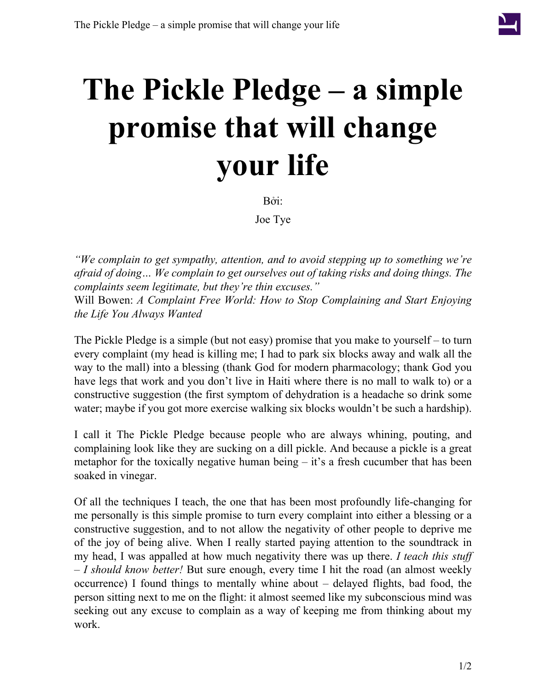

## **The Pickle Pledge – a simple promise that will change your life**

Bởi:

Joe Tye

*"We complain to get sympathy, attention, and to avoid stepping up to something we're afraid of doing… We complain to get ourselves out of taking risks and doing things. The complaints seem legitimate, but they're thin excuses."* Will Bowen: *A Complaint Free World: How to Stop Complaining and Start Enjoying the Life You Always Wanted*

The Pickle Pledge is a simple (but not easy) promise that you make to yourself – to turn every complaint (my head is killing me; I had to park six blocks away and walk all the way to the mall) into a blessing (thank God for modern pharmacology; thank God you have legs that work and you don't live in Haiti where there is no mall to walk to) or a constructive suggestion (the first symptom of dehydration is a headache so drink some water; maybe if you got more exercise walking six blocks wouldn't be such a hardship).

I call it The Pickle Pledge because people who are always whining, pouting, and complaining look like they are sucking on a dill pickle. And because a pickle is a great metaphor for the toxically negative human being  $-$  it's a fresh cucumber that has been soaked in vinegar.

Of all the techniques I teach, the one that has been most profoundly life-changing for me personally is this simple promise to turn every complaint into either a blessing or a constructive suggestion, and to not allow the negativity of other people to deprive me of the joy of being alive. When I really started paying attention to the soundtrack in my head, I was appalled at how much negativity there was up there. *I teach this stuff – I should know better!* But sure enough, every time I hit the road (an almost weekly occurrence) I found things to mentally whine about – delayed flights, bad food, the person sitting next to me on the flight: it almost seemed like my subconscious mind was seeking out any excuse to complain as a way of keeping me from thinking about my work.